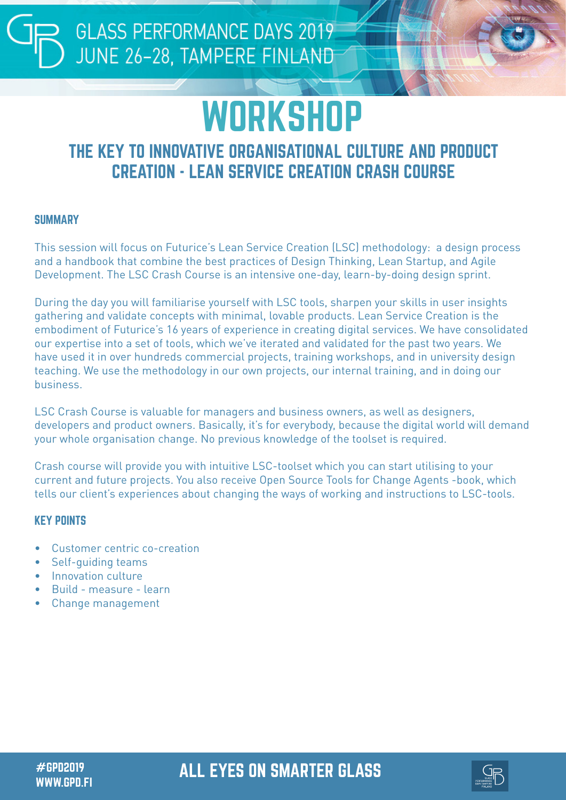# **WORKSHOP**

# THE KEY TO INNOVATIVE ORGANISATIONAL CULTURE AND PRODUCT CREATION - LEAN SERVICE CREATION CRASH COURSE

#### **SUMMARY**

This session will focus on Futurice's Lean Service Creation (LSC) methodology: a design process and a handbook that combine the best practices of Design Thinking, Lean Startup, and Agile Development. The LSC Crash Course is an intensive one-day, learn-by-doing design sprint.

During the day you will familiarise yourself with LSC tools, sharpen your skills in user insights gathering and validate concepts with minimal, lovable products. Lean Service Creation is the embodiment of Futurice's 16 years of experience in creating digital services. We have consolidated our expertise into a set of tools, which we've iterated and validated for the past two years. We have used it in over hundreds commercial projects, training workshops, and in university design teaching. We use the methodology in our own projects, our internal training, and in doing our business.

LSC Crash Course is valuable for managers and business owners, as well as designers, developers and product owners. Basically, it's for everybody, because the digital world will demand your whole organisation change. No previous knowledge of the toolset is required.

Crash course will provide you with intuitive LSC-toolset which you can start utilising to your current and future projects. You also receive Open Source Tools for Change Agents -book, which tells our client's experiences about changing the ways of working and instructions to LSC-tools.

## KEY POINTS

- Customer centric co-creation
- Self-guiding teams
- Innovation culture
- Build measure learn
- Change management

# #GPD2019 ALL EYES ON SMARTER GLASS